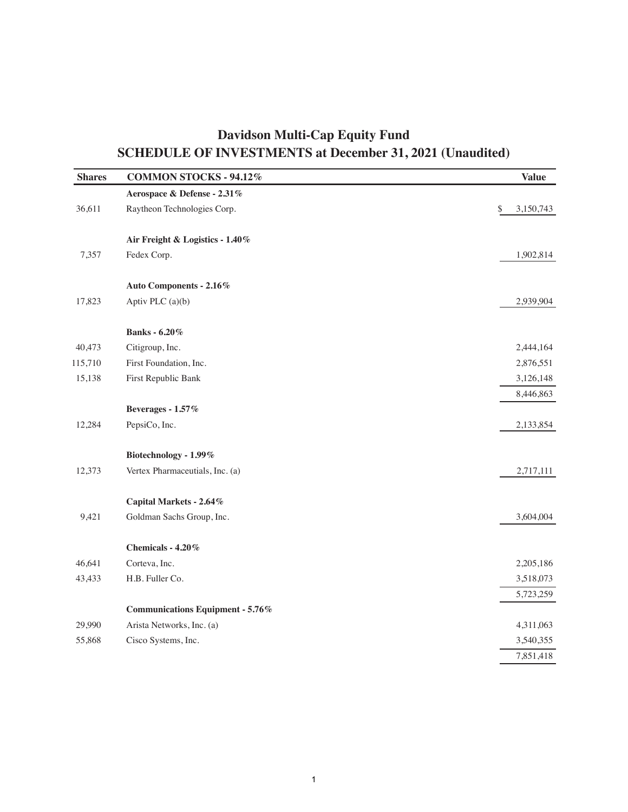## **Davidson Multi-Cap Equity Fund SCHEDULE OF INVESTMENTS at December 31, 2021 (Unaudited)**

| <b>Shares</b> | <b>COMMON STOCKS - 94.12%</b>           | <b>Value</b>    |
|---------------|-----------------------------------------|-----------------|
|               | Aerospace & Defense - 2.31%             |                 |
| 36,611        | Raytheon Technologies Corp.             | \$<br>3,150,743 |
|               | Air Freight & Logistics - 1.40%         |                 |
| 7,357         | Fedex Corp.                             | 1,902,814       |
|               | Auto Components - 2.16%                 |                 |
| 17,823        | Aptiv PLC (a)(b)                        | 2,939,904       |
|               | <b>Banks</b> - 6.20%                    |                 |
| 40,473        | Citigroup, Inc.                         | 2,444,164       |
| 115,710       | First Foundation, Inc.                  | 2,876,551       |
| 15,138        | First Republic Bank                     | 3,126,148       |
|               |                                         | 8,446,863       |
|               | Beverages - 1.57%                       |                 |
| 12,284        | PepsiCo, Inc.                           | 2,133,854       |
|               | Biotechnology - 1.99%                   |                 |
| 12,373        | Vertex Pharmaceutials, Inc. (a)         | 2,717,111       |
|               | Capital Markets - 2.64%                 |                 |
| 9,421         | Goldman Sachs Group, Inc.               | 3,604,004       |
|               | Chemicals - 4.20%                       |                 |
| 46,641        | Corteva, Inc.                           | 2,205,186       |
| 43,433        | H.B. Fuller Co.                         | 3,518,073       |
|               |                                         | 5,723,259       |
|               | <b>Communications Equipment - 5.76%</b> |                 |
| 29,990        | Arista Networks, Inc. (a)               | 4,311,063       |
| 55,868        | Cisco Systems, Inc.                     | 3,540,355       |
|               |                                         | 7,851,418       |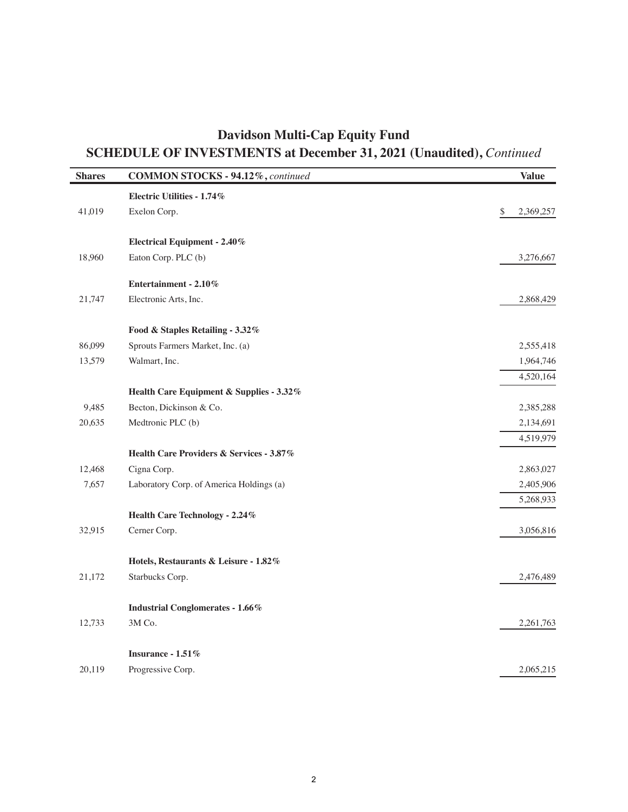## **Davidson Multi-Cap Equity Fund SCHEDULE OF INVESTMENTS at December 31, 2021 (Unaudited),** *Continued*

| <b>Shares</b> | <b>COMMON STOCKS - 94.12%, continued</b> | <b>Value</b>    |
|---------------|------------------------------------------|-----------------|
|               | Electric Utilities - 1.74%               |                 |
| 41,019        | Exelon Corp.                             | \$<br>2,369,257 |
|               | <b>Electrical Equipment - 2.40%</b>      |                 |
| 18,960        | Eaton Corp. PLC (b)                      | 3,276,667       |
|               | Entertainment - 2.10%                    |                 |
| 21,747        | Electronic Arts, Inc.                    | 2,868,429       |
|               | Food & Staples Retailing - 3.32%         |                 |
| 86,099        | Sprouts Farmers Market, Inc. (a)         | 2,555,418       |
| 13,579        | Walmart, Inc.                            | 1,964,746       |
|               |                                          | 4,520,164       |
|               | Health Care Equipment & Supplies - 3.32% |                 |
| 9,485         | Becton, Dickinson & Co.                  | 2,385,288       |
| 20,635        | Medtronic PLC (b)                        | 2,134,691       |
|               |                                          | 4,519,979       |
|               | Health Care Providers & Services - 3.87% |                 |
| 12,468        | Cigna Corp.                              | 2,863,027       |
| 7,657         | Laboratory Corp. of America Holdings (a) | 2,405,906       |
|               |                                          | 5,268,933       |
|               | Health Care Technology - 2.24%           |                 |
| 32,915        | Cerner Corp.                             | 3,056,816       |
|               | Hotels, Restaurants & Leisure - 1.82%    |                 |
| 21,172        | Starbucks Corp.                          | 2,476,489       |
|               | <b>Industrial Conglomerates - 1.66%</b>  |                 |
| 12,733        | 3M Co.                                   | 2,261,763       |
|               | Insurance $-1.51\%$                      |                 |
| 20,119        | Progressive Corp.                        | 2,065,215       |
|               |                                          |                 |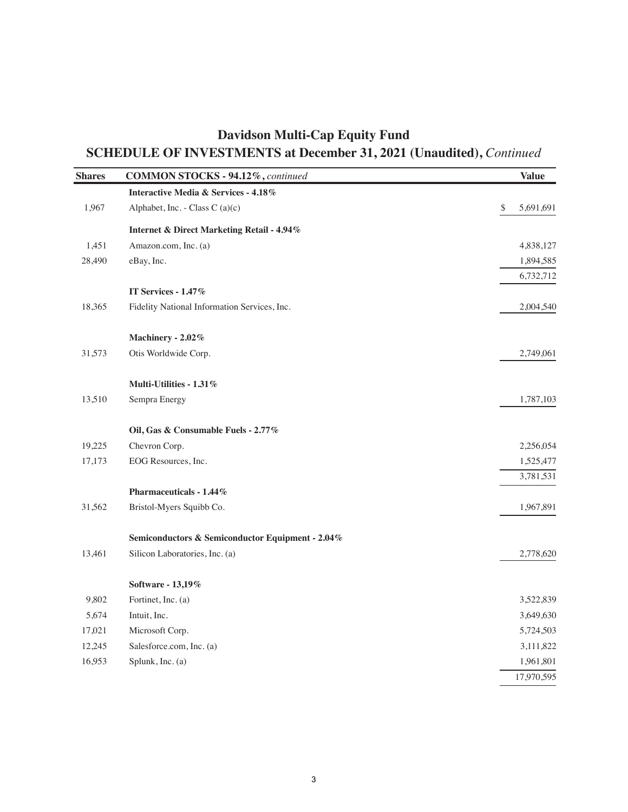## **Davidson Multi-Cap Equity Fund SCHEDULE OF INVESTMENTS at December 31, 2021 (Unaudited),** *Continued*

| <b>Shares</b> | <b>COMMON STOCKS - 94.12%, continued</b>              | <b>Value</b>    |
|---------------|-------------------------------------------------------|-----------------|
|               | Interactive Media & Services - 4.18%                  |                 |
| 1,967         | Alphabet, Inc. - Class C (a)(c)                       | \$<br>5,691,691 |
|               | <b>Internet &amp; Direct Marketing Retail - 4.94%</b> |                 |
| 1,451         | Amazon.com, Inc. (a)                                  | 4,838,127       |
| 28,490        | eBay, Inc.                                            | 1,894,585       |
|               |                                                       | 6,732,712       |
|               | IT Services - 1.47%                                   |                 |
| 18,365        | Fidelity National Information Services, Inc.          | 2,004,540       |
|               | Machinery - 2.02%                                     |                 |
| 31,573        | Otis Worldwide Corp.                                  | 2,749,061       |
|               | Multi-Utilities - 1.31%                               |                 |
| 13,510        | Sempra Energy                                         | 1,787,103       |
|               | Oil, Gas & Consumable Fuels - 2.77%                   |                 |
| 19,225        | Chevron Corp.                                         | 2,256,054       |
| 17,173        | EOG Resources, Inc.                                   | 1,525,477       |
|               |                                                       | 3,781,531       |
|               | Pharmaceuticals - $1.44\%$                            |                 |
| 31,562        | Bristol-Myers Squibb Co.                              | 1,967,891       |
|               | Semiconductors & Semiconductor Equipment - 2.04%      |                 |
| 13,461        | Silicon Laboratories, Inc. (a)                        | 2,778,620       |
|               | Software - 13,19%                                     |                 |
| 9,802         | Fortinet, Inc. (a)                                    | 3,522,839       |
| 5,674         | Intuit, Inc.                                          | 3,649,630       |
| 17,021        | Microsoft Corp.                                       | 5,724,503       |
| 12,245        | Salesforce.com, Inc. (a)                              | 3,111,822       |
| 16,953        | Splunk, Inc. (a)                                      | 1,961,801       |
|               |                                                       | 17,970,595      |